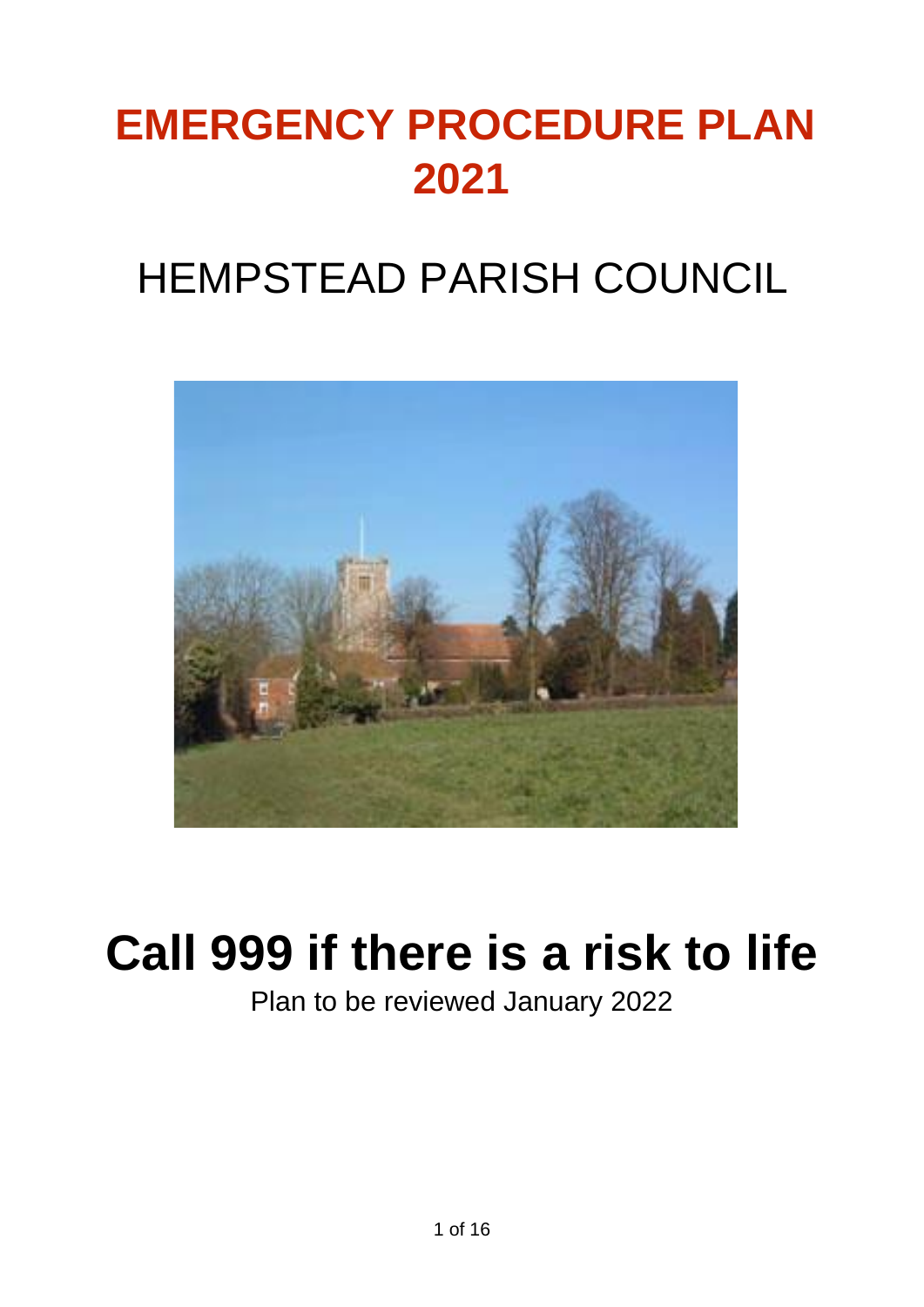# **EMERGENCY PROCEDURE PLAN 2021**

## HEMPSTEAD PARISH COUNCIL



# **Call 999 if there is a risk to life**

Plan to be reviewed January 2022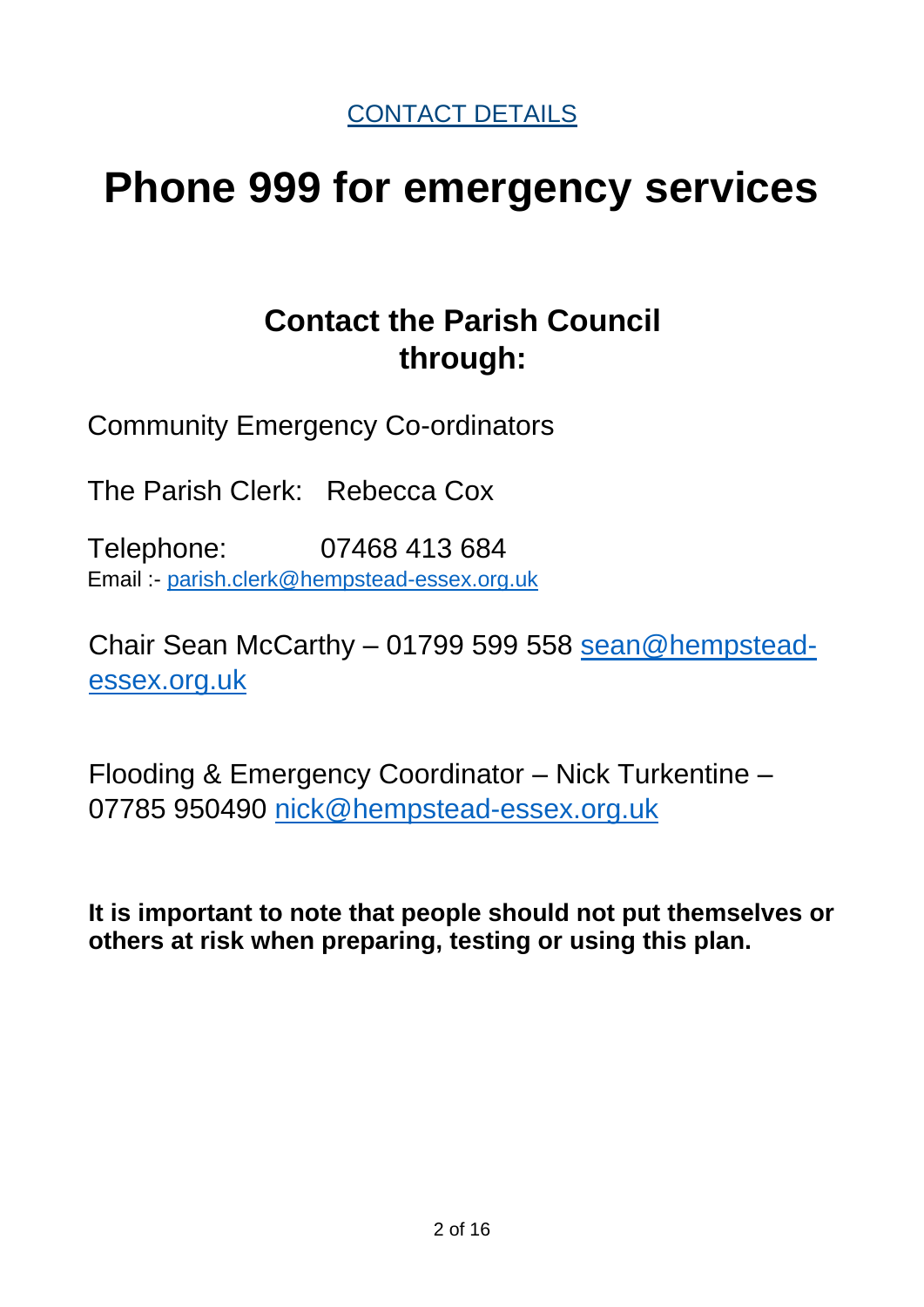CONTACT DETAILS

## **Phone 999 for emergency services**

## **Contact the Parish Council through:**

Community Emergency Co-ordinators

The Parish Clerk: Rebecca Cox

Telephone: 07468 413 684 Email :- [parish.clerk@hempstead-essex.org.uk](mailto:parish.clerk@hempstead-essex.org.uk)

Chair Sean McCarthy – 01799 599 558 [sean@hempstead](mailto:sean@hempstead-essex.org.uk)[essex.org.uk](mailto:sean@hempstead-essex.org.uk)

Flooding & Emergency Coordinator – Nick Turkentine – 07785 950490 [nick@hempstead-essex.org.uk](mailto:nick@hempstead-essex.org.uk)

**It is important to note that people should not put themselves or others at risk when preparing, testing or using this plan.**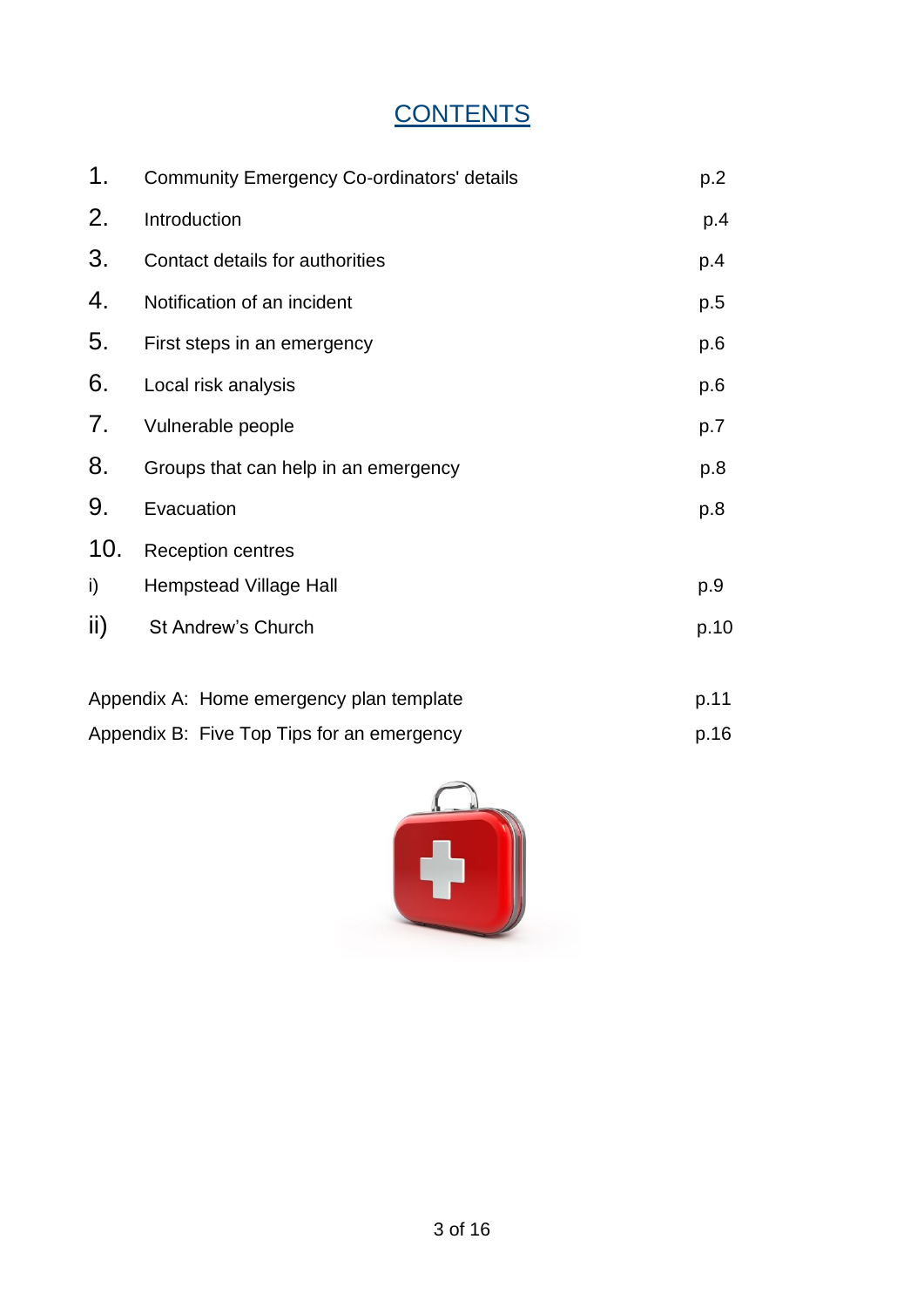## **CONTENTS**

| 1.  | <b>Community Emergency Co-ordinators' details</b> | p.2  |  |  |  |  |
|-----|---------------------------------------------------|------|--|--|--|--|
| 2.  | Introduction                                      | p.4  |  |  |  |  |
| 3.  | Contact details for authorities                   | p.4  |  |  |  |  |
| 4.  | Notification of an incident                       | p.5  |  |  |  |  |
| 5.  | First steps in an emergency                       | p.6  |  |  |  |  |
| 6.  | Local risk analysis                               | p.6  |  |  |  |  |
| 7.  | Vulnerable people                                 | p.7  |  |  |  |  |
| 8.  | Groups that can help in an emergency              | p.8  |  |  |  |  |
| 9.  | Evacuation                                        | p.8  |  |  |  |  |
| 10. | <b>Reception centres</b>                          |      |  |  |  |  |
| i)  | <b>Hempstead Village Hall</b>                     | p.9  |  |  |  |  |
| ii) | St Andrew's Church                                | p.10 |  |  |  |  |
|     | Appendix A: Home emergency plan template          | p.11 |  |  |  |  |
|     | Appendix B: Five Top Tips for an emergency        | p.16 |  |  |  |  |

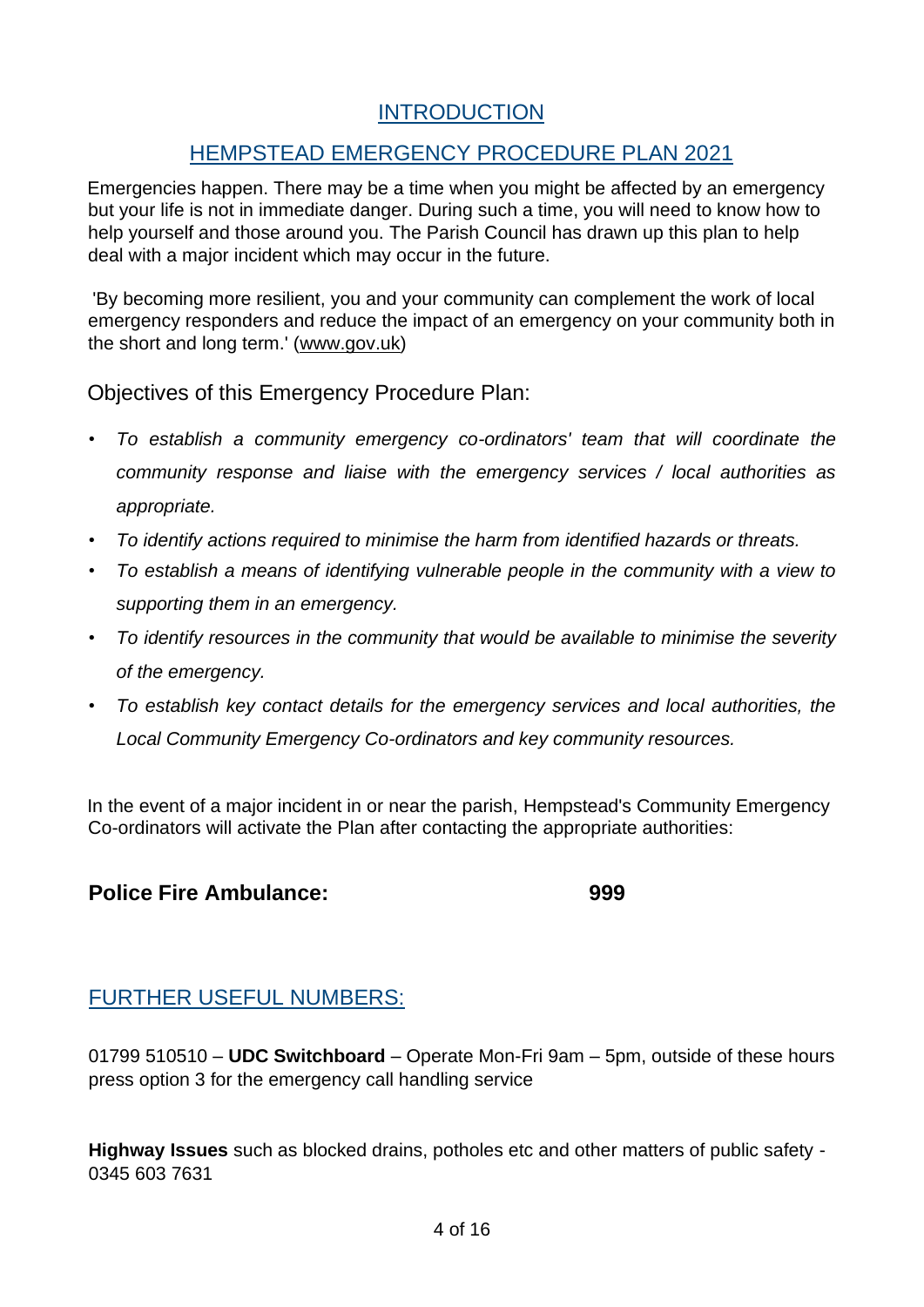## **INTRODUCTION**

## HEMPSTEAD EMERGENCY PROCEDURE PLAN 2021

Emergencies happen. There may be a time when you might be affected by an emergency but your life is not in immediate danger. During such a time, you will need to know how to help yourself and those around you. The Parish Council has drawn up this plan to help deal with a major incident which may occur in the future.

'By becoming more resilient, you and your community can complement the work of local emergency responders and reduce the impact of an emergency on your community both in the short and long term.' [\(www.gov.uk\)](http://www.gov.uk/)

Objectives of this Emergency Procedure Plan:

- *To establish a community emergency co-ordinators' team that will coordinate the community response and liaise with the emergency services / local authorities as appropriate.*
- *To identify actions required to minimise the harm from identified hazards or threats.*
- *To establish a means of identifying vulnerable people in the community with a view to supporting them in an emergency.*
- *To identify resources in the community that would be available to minimise the severity of the emergency.*
- *To establish key contact details for the emergency services and local authorities, the Local Community Emergency Co-ordinators and key community resources.*

In the event of a major incident in or near the parish, Hempstead's Community Emergency Co-ordinators will activate the Plan after contacting the appropriate authorities:

## **Police Fire Ambulance: 999**

## FURTHER USEFUL NUMBERS:

01799 510510 – **UDC Switchboard** – Operate Mon-Fri 9am – 5pm, outside of these hours press option 3 for the emergency call handling service

**Highway Issues** such as blocked drains, potholes etc and other matters of public safety - 0345 603 7631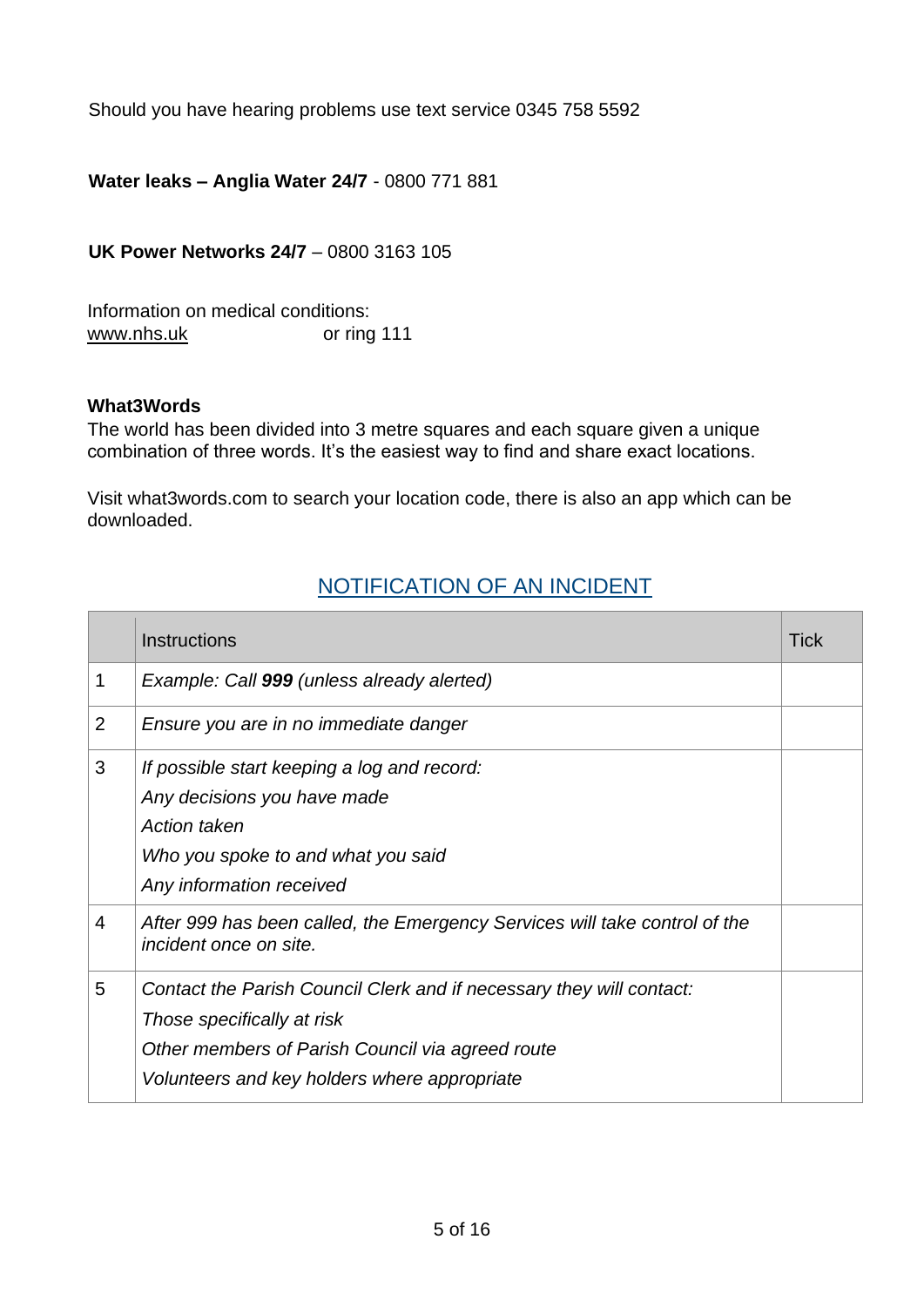Should you have hearing problems use text service 0345 758 5592

**Water leaks – Anglia Water 24/7** - 0800 771 881

**UK Power Networks 24/7** – 0800 3163 105

Information on medical conditions: [www.nhs.uk](http://www.nhs.uk/) or ring 111

#### **What3Words**

The world has been divided into 3 metre squares and each square given a unique combination of three words. It's the easiest way to find and share exact locations.

Visit what3words.com to search your location code, there is also an app which can be downloaded.

### NOTIFICATION OF AN INCIDENT

|   | <b>Instructions</b>                                                                                                                                                                                    | Tick |
|---|--------------------------------------------------------------------------------------------------------------------------------------------------------------------------------------------------------|------|
| 1 | Example: Call 999 (unless already alerted)                                                                                                                                                             |      |
| 2 | Ensure you are in no immediate danger                                                                                                                                                                  |      |
| 3 | If possible start keeping a log and record:<br>Any decisions you have made<br>Action taken<br>Who you spoke to and what you said<br>Any information received                                           |      |
| 4 | After 999 has been called, the Emergency Services will take control of the<br>incident once on site.                                                                                                   |      |
| 5 | Contact the Parish Council Clerk and if necessary they will contact:<br>Those specifically at risk<br>Other members of Parish Council via agreed route<br>Volunteers and key holders where appropriate |      |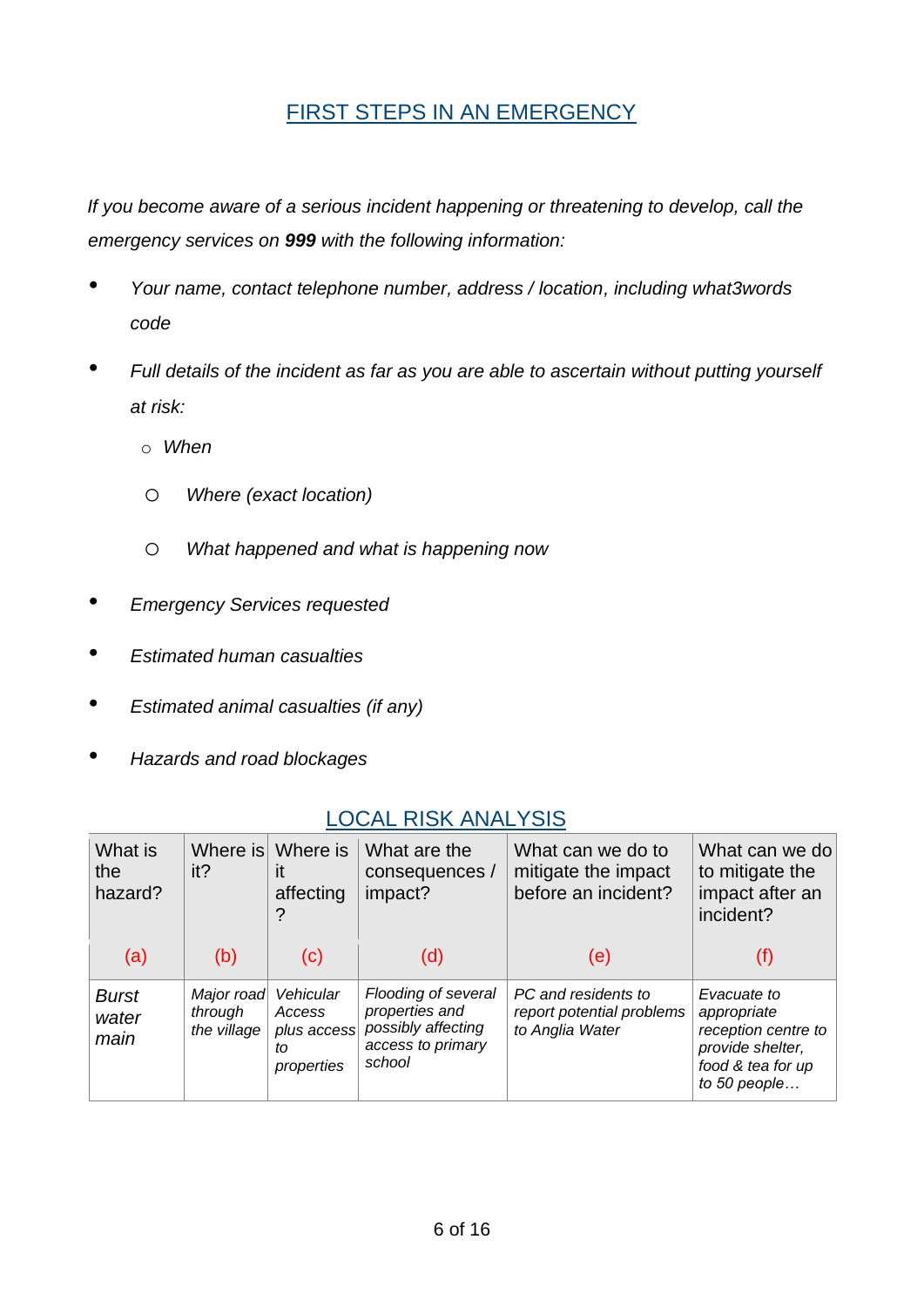## FIRST STEPS IN AN EMERGENCY

*If you become aware of a serious incident happening or threatening to develop, call the emergency services on 999 with the following information:* 

- *Your name, contact telephone number, address / location, including what3words code*
- *Full details of the incident as far as you are able to ascertain without putting yourself at risk:* 
	- o *When*
	- o *Where (exact location)*
	- o *What happened and what is happening now*
- *Emergency Services requested*
- *Estimated human casualties*
- *Estimated animal casualties (if any)*
- *Hazards and road blockages*

| What is<br>the<br>hazard?     | Where is<br>it?                      | Where is<br>it<br>affecting                            | What are the<br>consequences /<br>impact?                                                  | What can we do to<br>mitigate the impact<br>before an incident?     | What can we do<br>to mitigate the<br>impact after an<br>incident?                                          |
|-------------------------------|--------------------------------------|--------------------------------------------------------|--------------------------------------------------------------------------------------------|---------------------------------------------------------------------|------------------------------------------------------------------------------------------------------------|
| (a)                           | (b)                                  | (c)                                                    | (d)                                                                                        | (e)                                                                 |                                                                                                            |
| <b>Burst</b><br>water<br>main | Major road<br>through<br>the village | Vehicular<br>Access<br>plus access<br>to<br>properties | Flooding of several<br>properties and<br>possibly affecting<br>access to primary<br>school | PC and residents to<br>report potential problems<br>to Anglia Water | Evacuate to<br>appropriate<br>reception centre to<br>provide shelter,<br>food & tea for up<br>to 50 people |

### LOCAL RISK ANALYSIS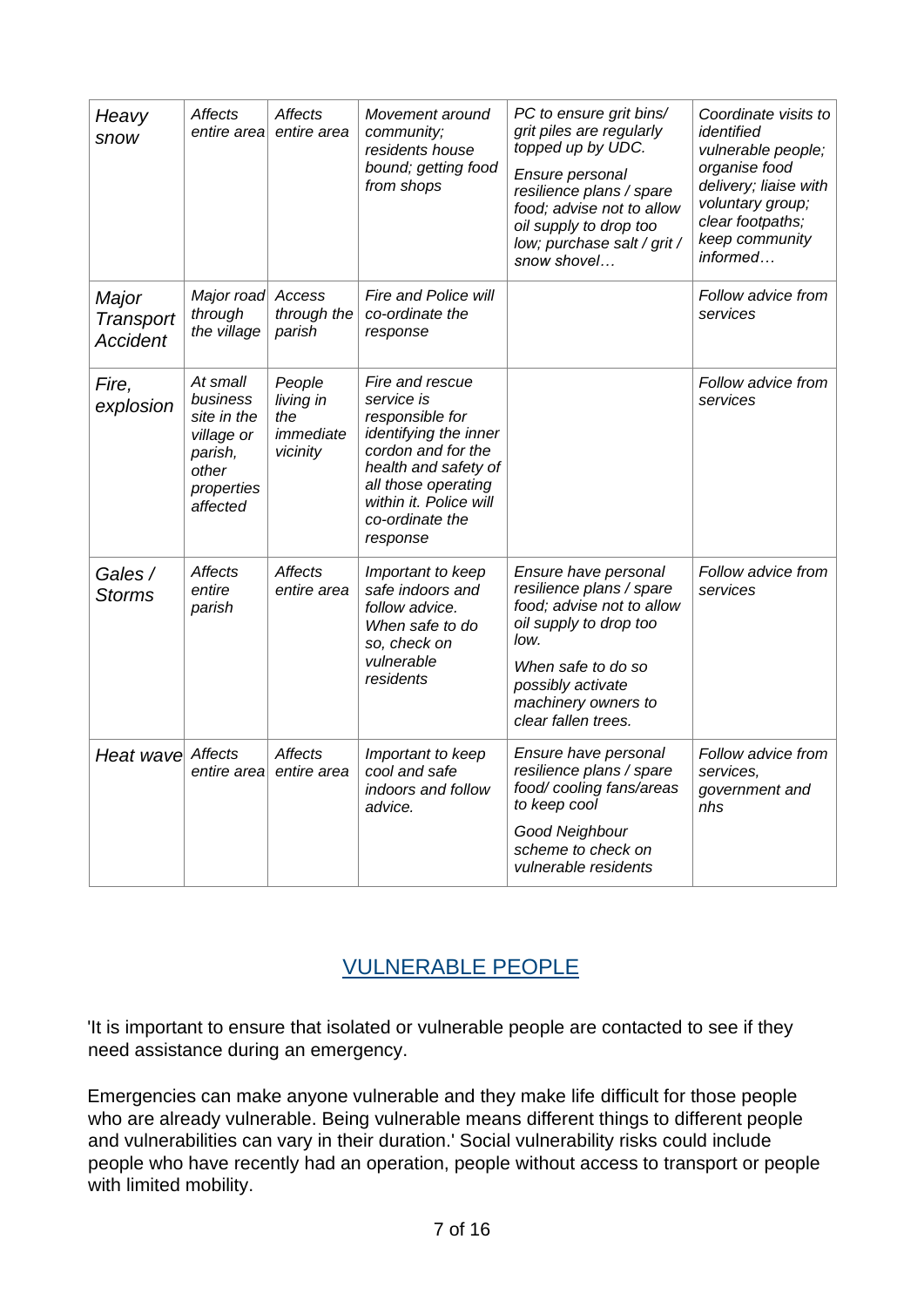| Heavy<br>snow                                | Affects<br>entire area                                                                          | <b>Affects</b><br>entire area                       | Movement around<br>community;<br>residents house<br>bound; getting food<br>from shops                                                                                                                   | PC to ensure grit bins/<br>grit piles are regularly<br>topped up by UDC.<br>Ensure personal<br>resilience plans / spare<br>food; advise not to allow<br>oil supply to drop too<br>low; purchase salt / grit /<br>snow shovel | Coordinate visits to<br>identified<br>vulnerable people;<br>organise food<br>delivery; liaise with<br>voluntary group;<br>clear footpaths;<br>keep community<br>informed |
|----------------------------------------------|-------------------------------------------------------------------------------------------------|-----------------------------------------------------|---------------------------------------------------------------------------------------------------------------------------------------------------------------------------------------------------------|------------------------------------------------------------------------------------------------------------------------------------------------------------------------------------------------------------------------------|--------------------------------------------------------------------------------------------------------------------------------------------------------------------------|
| Major<br><b>Transport</b><br><b>Accident</b> | Major road<br>through<br>the village                                                            | Access<br>through the<br>parish                     | Fire and Police will<br>co-ordinate the<br>response                                                                                                                                                     |                                                                                                                                                                                                                              | Follow advice from<br>services                                                                                                                                           |
| Fire,<br>explosion                           | At small<br>business<br>site in the<br>village or<br>parish,<br>other<br>properties<br>affected | People<br>living in<br>the<br>immediate<br>vicinity | Fire and rescue<br>service is<br>responsible for<br>identifying the inner<br>cordon and for the<br>health and safety of<br>all those operating<br>within it. Police will<br>co-ordinate the<br>response |                                                                                                                                                                                                                              | Follow advice from<br>services                                                                                                                                           |
| Gales /<br><b>Storms</b>                     | <b>Affects</b><br>entire<br>parish                                                              | <b>Affects</b><br>entire area                       | Important to keep<br>safe indoors and<br>follow advice.<br>When safe to do<br>so, check on<br>vulnerable<br>residents                                                                                   | Ensure have personal<br>resilience plans / spare<br>food; advise not to allow<br>oil supply to drop too<br>low.<br>When safe to do so<br>possibly activate<br>machinery owners to<br>clear fallen trees.                     | Follow advice from<br>services                                                                                                                                           |
| Heat wave Affects                            | entire area                                                                                     | <b>Affects</b><br>entire area                       | Important to keep<br>cool and safe<br>indoors and follow<br>advice.                                                                                                                                     | Ensure have personal<br>resilience plans / spare<br>food/cooling fans/areas<br>to keep cool<br>Good Neighbour<br>scheme to check on<br>vulnerable residents                                                                  | Follow advice from<br>services,<br>government and<br>nhs                                                                                                                 |

## VULNERABLE PEOPLE

'It is important to ensure that isolated or vulnerable people are contacted to see if they need assistance during an emergency.

Emergencies can make anyone vulnerable and they make life difficult for those people who are already vulnerable. Being vulnerable means different things to different people and vulnerabilities can vary in their duration.' Social vulnerability risks could include people who have recently had an operation, people without access to transport or people with limited mobility.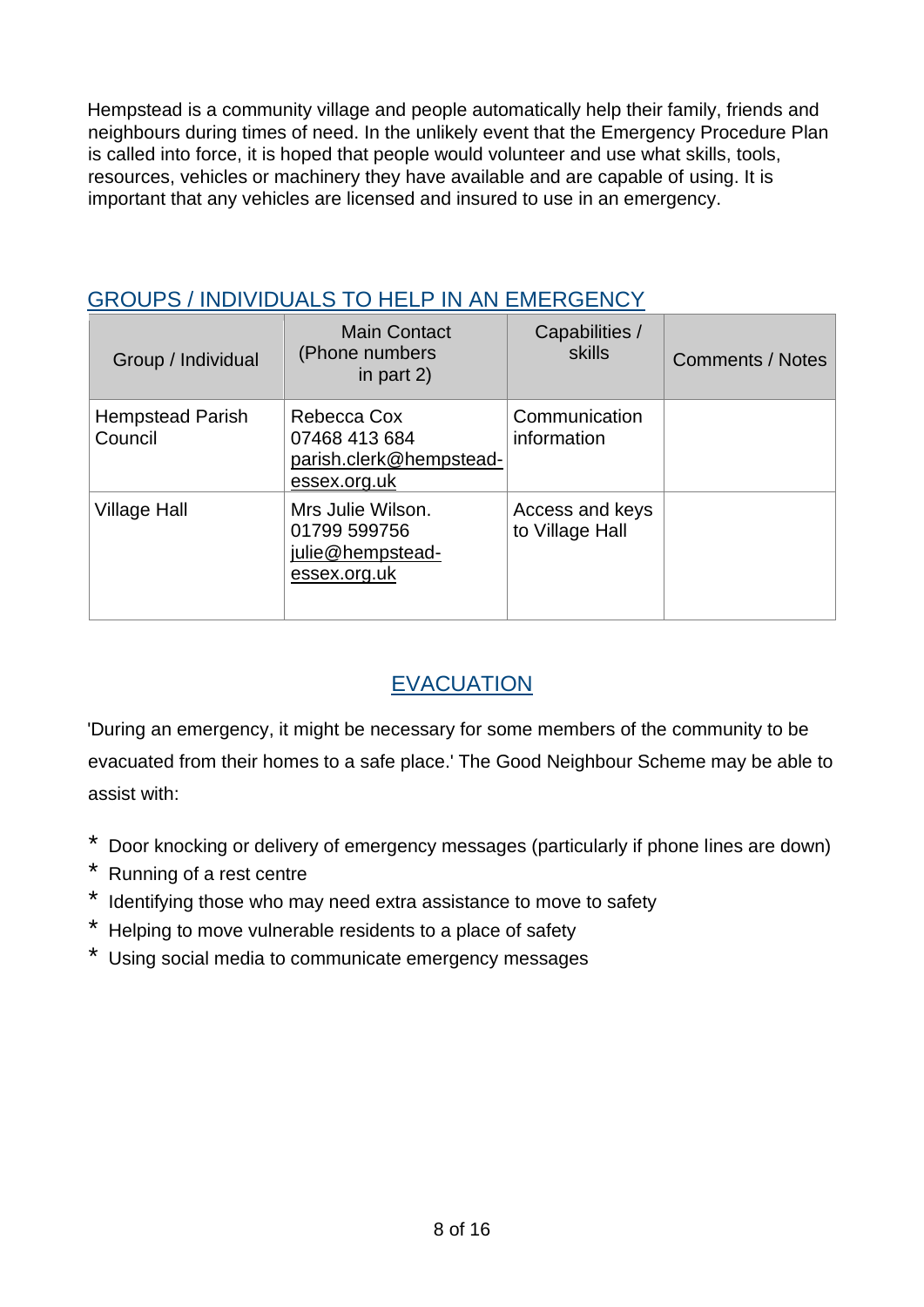Hempstead is a community village and people automatically help their family, friends and neighbours during times of need. In the unlikely event that the Emergency Procedure Plan is called into force, it is hoped that people would volunteer and use what skills, tools, resources, vehicles or machinery they have available and are capable of using. It is important that any vehicles are licensed and insured to use in an emergency.

## GROUPS / INDIVIDUALS TO HELP IN AN EMERGENCY

| Group / Individual                 | <b>Main Contact</b><br>(Phone numbers<br>in part $2)$                   | Capabilities /<br>skills           | <b>Comments / Notes</b> |
|------------------------------------|-------------------------------------------------------------------------|------------------------------------|-------------------------|
| <b>Hempstead Parish</b><br>Council | Rebecca Cox<br>07468 413 684<br>parish.clerk@hempstead-<br>essex.org.uk | Communication<br>information       |                         |
| <b>Village Hall</b>                | Mrs Julie Wilson.<br>01799 599756<br>julie@hempstead-<br>essex.org.uk   | Access and keys<br>to Village Hall |                         |

## EVACUATION

'During an emergency, it might be necessary for some members of the community to be evacuated from their homes to a safe place.' The Good Neighbour Scheme may be able to assist with:

- \* Door knocking or delivery of emergency messages (particularly if phone lines are down)
- \* Running of a rest centre
- \* Identifying those who may need extra assistance to move to safety
- \* Helping to move vulnerable residents to a place of safety
- \* Using social media to communicate emergency messages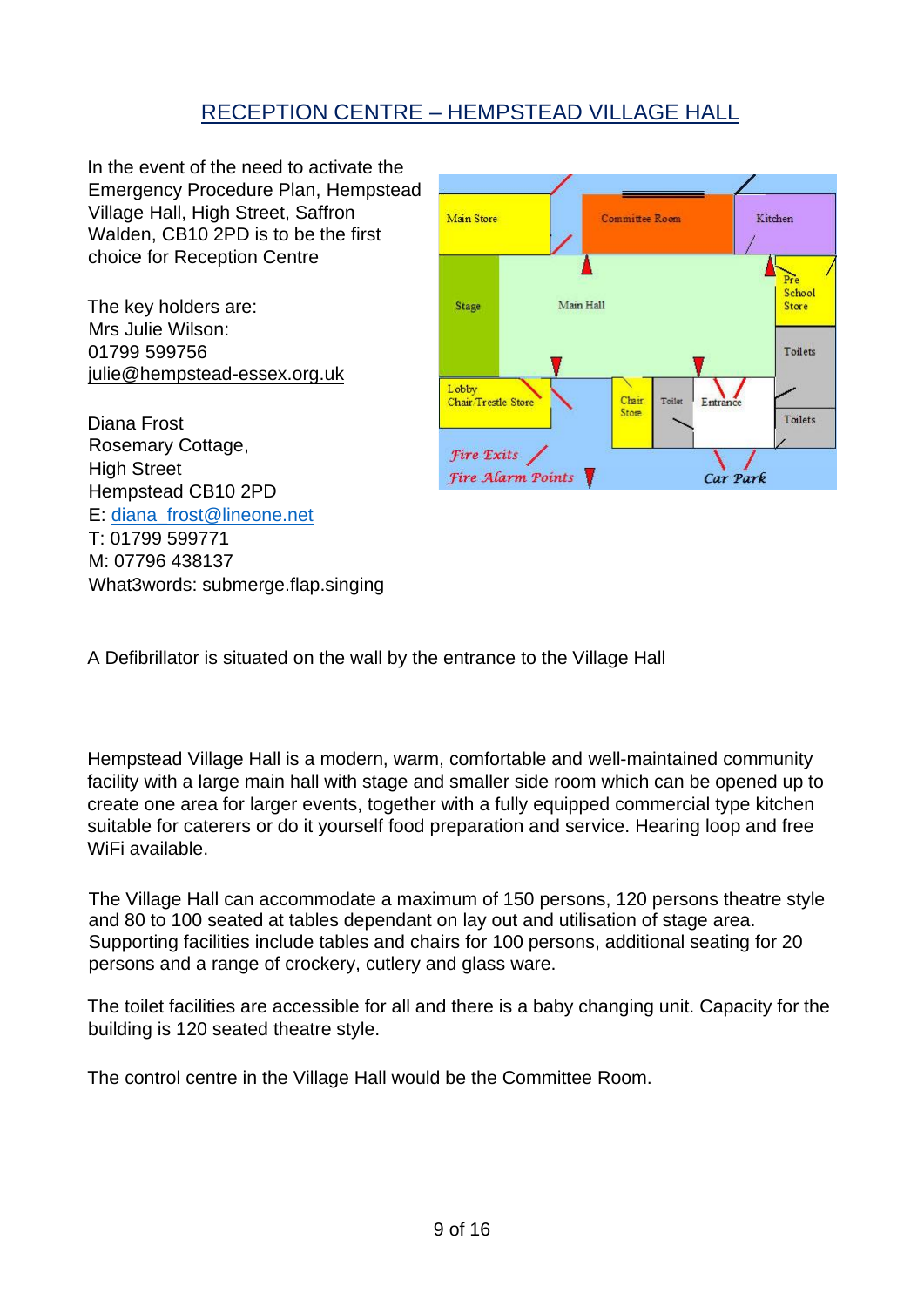## RECEPTION CENTRE – HEMPSTEAD VILLAGE HALL

In the event of the need to activate the Emergency Procedure Plan, Hempstead Village Hall, High Street, Saffron Walden, CB10 2PD is to be the first choice for Reception Centre

The key holders are: Mrs Julie Wilson: 01799 599756 [julie@hempstead-essex.org.uk](mailto:julie@hempstead-essex.org.uk)

Diana Frost Rosemary Cottage, **High Street** Hempstead CB10 2PD E: [diana\\_frost@lineone.net](mailto:diana_frost@lineone.net) T: 01799 599771 M: 07796 438137 What3words: submerge.flap.singing



A Defibrillator is situated on the wall by the entrance to the Village Hall

Hempstead Village Hall is a modern, warm, comfortable and well-maintained community facility with a large main hall with stage and smaller side room which can be opened up to create one area for larger events, together with a fully equipped commercial type kitchen suitable for caterers or do it yourself food preparation and service. Hearing loop and free WiFi available.

The Village Hall can accommodate a maximum of 150 persons, 120 persons theatre style and 80 to 100 seated at tables dependant on lay out and utilisation of stage area. Supporting facilities include tables and chairs for 100 persons, additional seating for 20 persons and a range of crockery, cutlery and glass ware.

The toilet facilities are accessible for all and there is a baby changing unit. Capacity for the building is 120 seated theatre style.

The control centre in the Village Hall would be the Committee Room.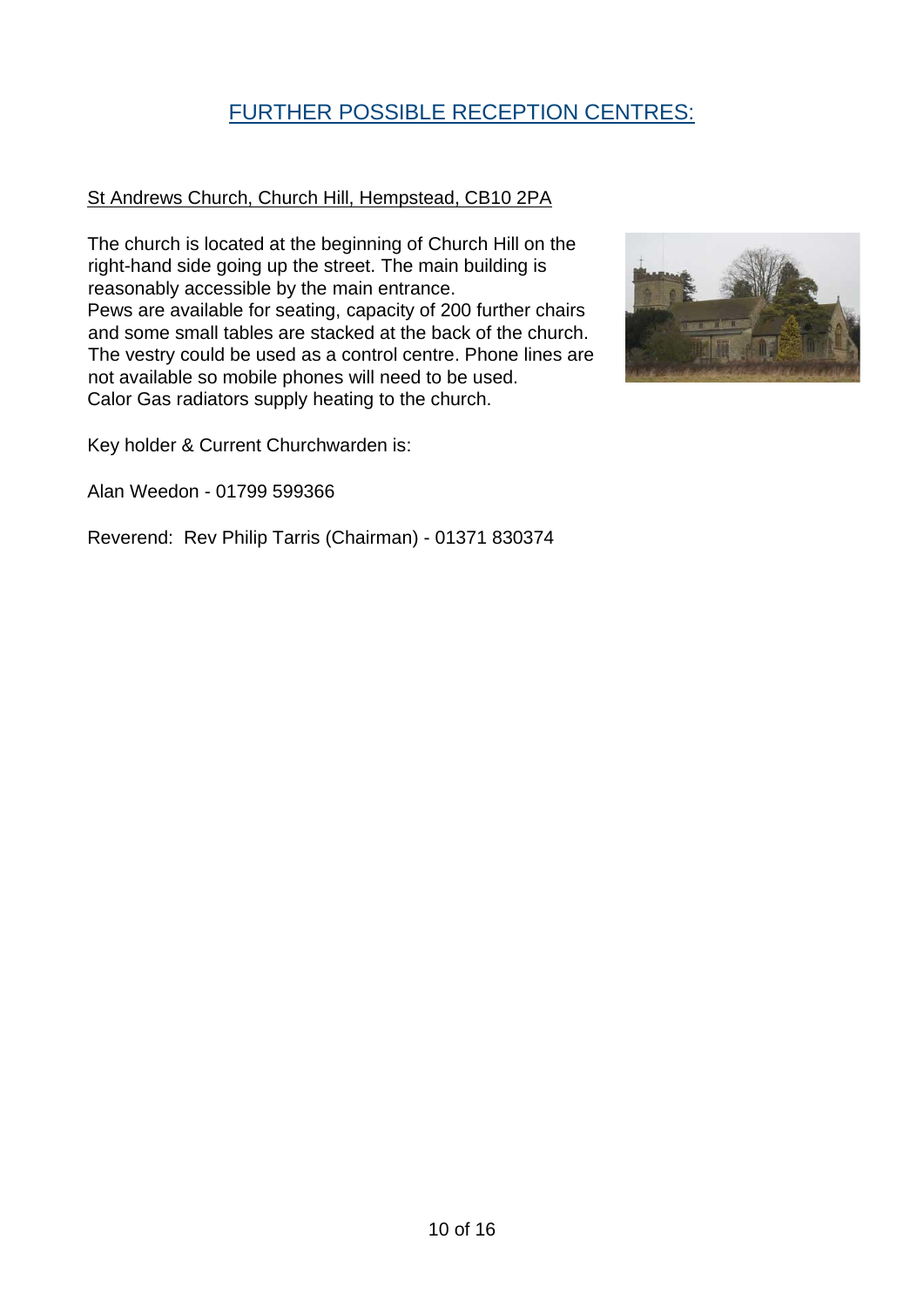## FURTHER POSSIBLE RECEPTION CENTRES:

#### St Andrews Church, Church Hill, Hempstead, CB10 2PA

The church is located at the beginning of Church Hill on the right-hand side going up the street. The main building is reasonably accessible by the main entrance. Pews are available for seating, capacity of 200 further chairs and some small tables are stacked at the back of the church. The vestry could be used as a control centre. Phone lines are not available so mobile phones will need to be used. Calor Gas radiators supply heating to the church.



Key holder & Current Churchwarden is:

Alan Weedon - 01799 599366

Reverend: Rev Philip Tarris (Chairman) - 01371 830374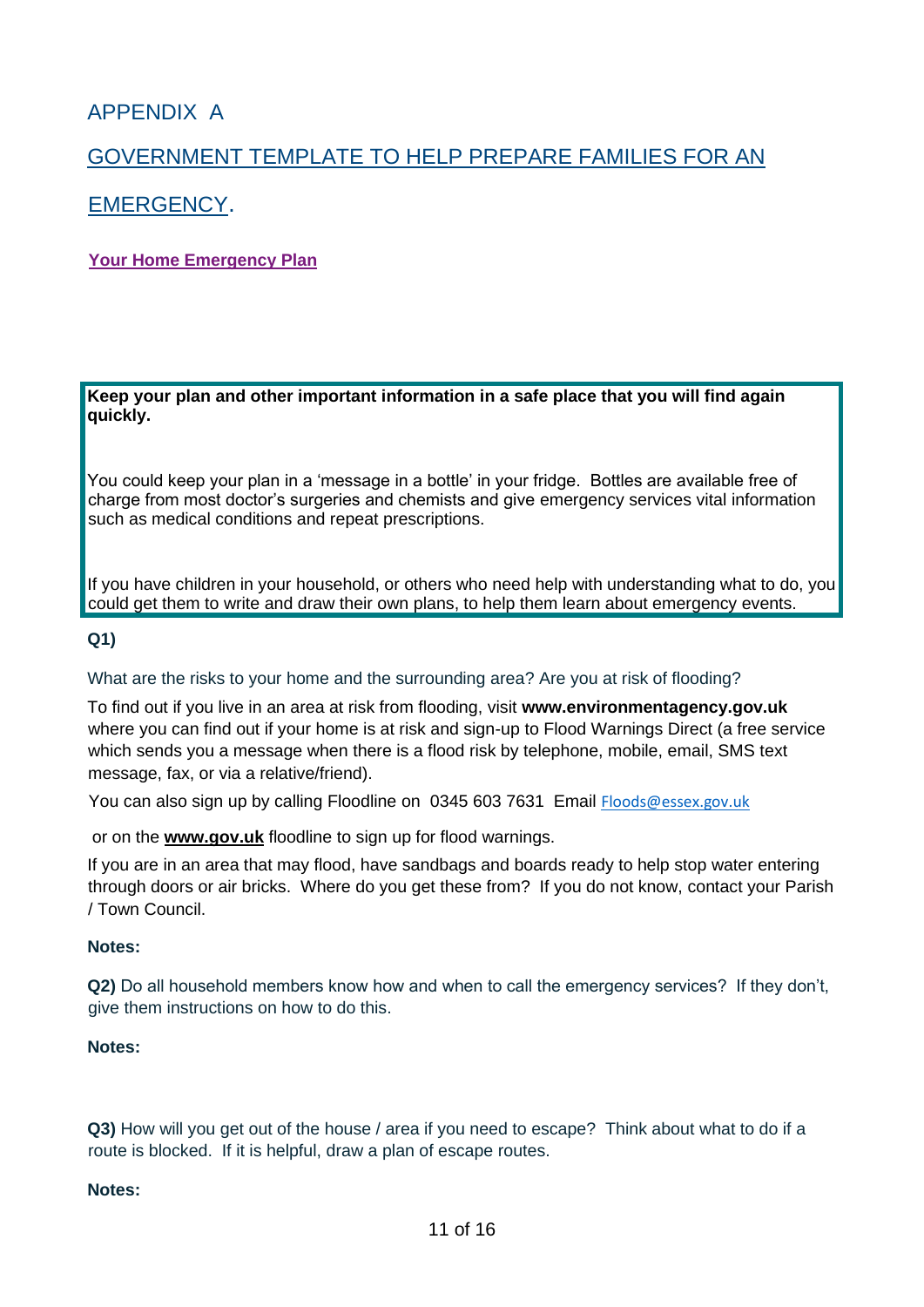## APPENDIX A

## GOVERNMENT TEMPLATE TO HELP PREPARE FAMILIES FOR AN

### EMERGENCY.

#### **Your Home Emergency Plan**

**Keep your plan and other important information in a safe place that you will find again quickly.** 

You could keep your plan in a 'message in a bottle' in your fridge. Bottles are available free of charge from most doctor's surgeries and chemists and give emergency services vital information such as medical conditions and repeat prescriptions.

If you have children in your household, or others who need help with understanding what to do, you could get them to write and draw their own plans, to help them learn about emergency events.

#### **Q1)**

What are the risks to your home and the surrounding area? Are you at risk of flooding?

To find out if you live in an area at risk from flooding, visit **[www.environmentagency.gov.uk](http://www.environment-agency.gov.uk/)** where you can find out if your home is at risk and sign-up to Flood Warnings Direct (a free service which sends you a message when there is a flood risk by telephone, mobile, email, SMS text message, fax, or via a relative/friend).

You can also sign up by calling Floodline on 0345 603 7631 Email [Floods@essex.gov.uk](mailto:Floods@essex.gov.uk)

or on the **[www.gov.uk](http://www.gov.uk/)** floodline to sign up for flood warnings.

If you are in an area that may flood, have sandbags and boards ready to help stop water entering through doors or air bricks. Where do you get these from? If you do not know, contact your Parish / Town Council.

#### **Notes:**

**Q2)** Do all household members know how and when to call the emergency services? If they don't, give them instructions on how to do this.

#### **Notes:**

**Q3)** How will you get out of the house / area if you need to escape? Think about what to do if a route is blocked. If it is helpful, draw a plan of escape routes.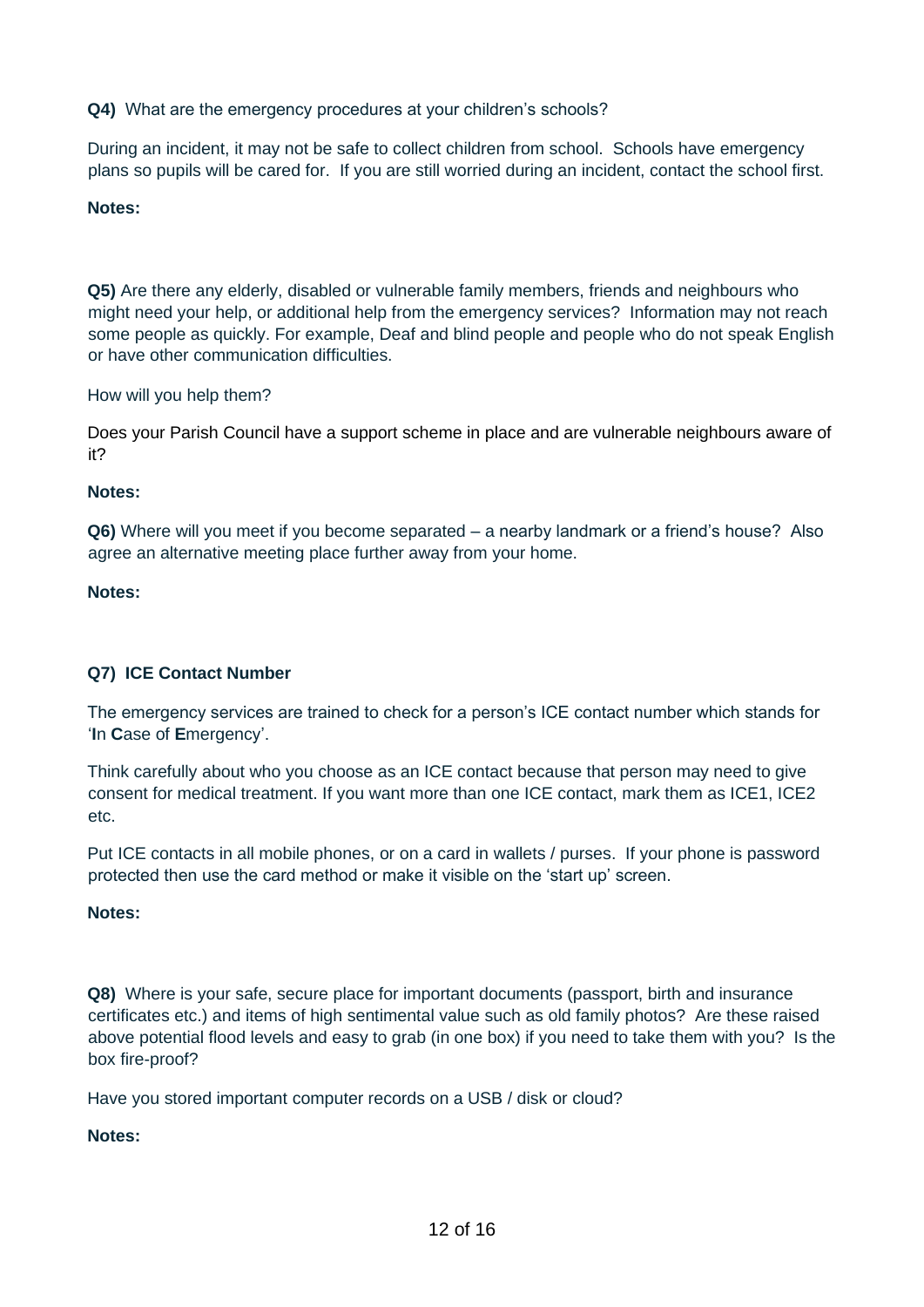**Q4)** What are the emergency procedures at your children's schools?

During an incident, it may not be safe to collect children from school. Schools have emergency plans so pupils will be cared for. If you are still worried during an incident, contact the school first.

#### **Notes:**

**Q5)** Are there any elderly, disabled or vulnerable family members, friends and neighbours who might need your help, or additional help from the emergency services? Information may not reach some people as quickly. For example, Deaf and blind people and people who do not speak English or have other communication difficulties.

How will you help them?

Does your Parish Council have a support scheme in place and are vulnerable neighbours aware of it?

#### **Notes:**

**Q6)** Where will you meet if you become separated – a nearby landmark or a friend's house? Also agree an alternative meeting place further away from your home.

#### **Notes:**

#### **Q7) ICE Contact Number**

The emergency services are trained to check for a person's ICE contact number which stands for '**I**n **C**ase of **E**mergency'.

Think carefully about who you choose as an ICE contact because that person may need to give consent for medical treatment. If you want more than one ICE contact, mark them as ICE1, ICE2 etc.

Put ICE contacts in all mobile phones, or on a card in wallets / purses. If your phone is password protected then use the card method or make it visible on the 'start up' screen.

#### **Notes:**

**Q8)** Where is your safe, secure place for important documents (passport, birth and insurance certificates etc.) and items of high sentimental value such as old family photos? Are these raised above potential flood levels and easy to grab (in one box) if you need to take them with you? Is the box fire-proof?

Have you stored important computer records on a USB / disk or cloud?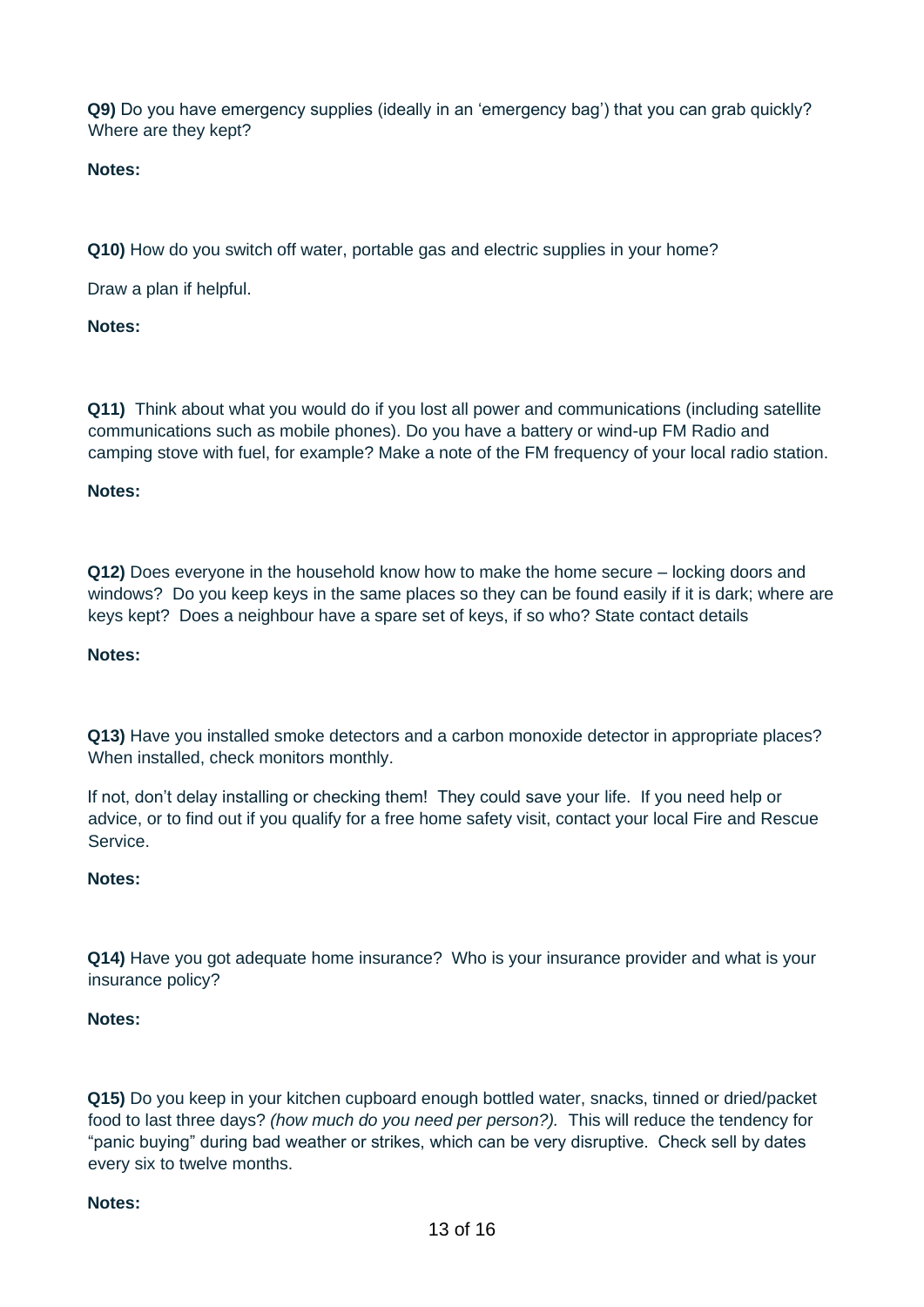**Q9)** Do you have emergency supplies (ideally in an 'emergency bag') that you can grab quickly? Where are they kept?

**Notes:**

**Q10)** How do you switch off water, portable gas and electric supplies in your home?

Draw a plan if helpful.

#### **Notes:**

**Q11)** Think about what you would do if you lost all power and communications (including satellite communications such as mobile phones). Do you have a battery or wind-up FM Radio and camping stove with fuel, for example? Make a note of the FM frequency of your local radio station.

#### **Notes:**

**Q12)** Does everyone in the household know how to make the home secure – locking doors and windows? Do you keep keys in the same places so they can be found easily if it is dark; where are keys kept? Does a neighbour have a spare set of keys, if so who? State contact details

#### **Notes:**

**Q13)** Have you installed smoke detectors and a carbon monoxide detector in appropriate places? When installed, check monitors monthly.

If not, don't delay installing or checking them! They could save your life. If you need help or advice, or to find out if you qualify for a free home safety visit, contact your local Fire and Rescue Service.

#### **Notes:**

**Q14)** Have you got adequate home insurance? Who is your insurance provider and what is your insurance policy?

#### **Notes:**

**Q15)** Do you keep in your kitchen cupboard enough bottled water, snacks, tinned or dried/packet food to last three days? *(how much do you need per person?).* This will reduce the tendency for "panic buying" during bad weather or strikes, which can be very disruptive. Check sell by dates every six to twelve months.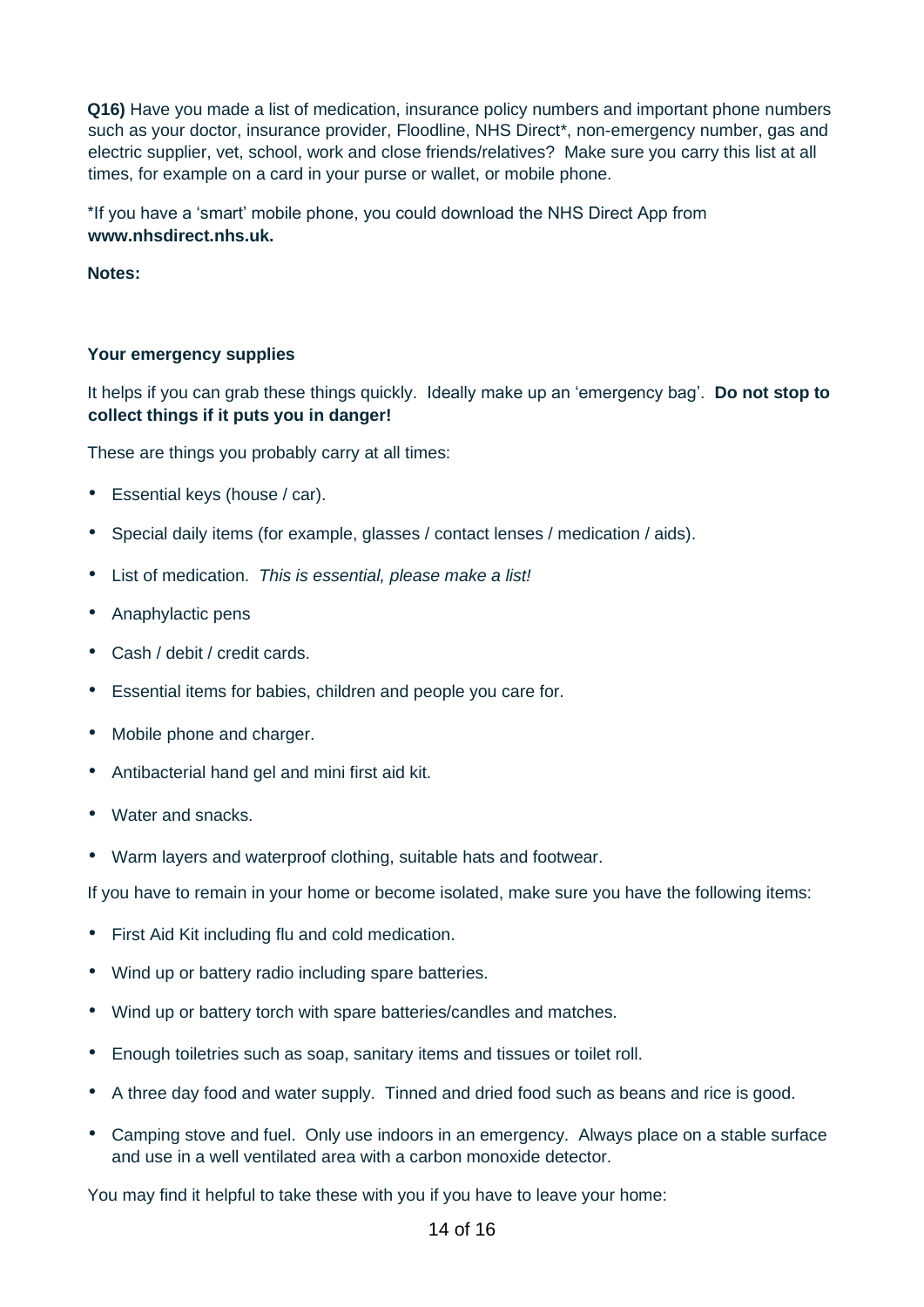**Q16)** Have you made a list of medication, insurance policy numbers and important phone numbers such as your doctor, insurance provider, Floodline, NHS Direct\*, non-emergency number, gas and electric supplier, vet, school, work and close friends/relatives? Make sure you carry this list at all times, for example on a card in your purse or wallet, or mobile phone.

\*If you have a 'smart' mobile phone, you could download the NHS Direct App from **[www.nhsdirect.nhs.uk.](http://www.nhsdirect.nhs.uk/)**

**Notes:** 

#### **Your emergency supplies**

It helps if you can grab these things quickly. Ideally make up an 'emergency bag'. **Do not stop to collect things if it puts you in danger!** 

These are things you probably carry at all times:

- Essential keys (house / car).
- Special daily items (for example, glasses / contact lenses / medication / aids).
- List of medication. *This is essential, please make a list!*
- Anaphylactic pens
- Cash / debit / credit cards.
- Essential items for babies, children and people you care for.
- Mobile phone and charger.
- Antibacterial hand gel and mini first aid kit.
- Water and snacks.
- Warm layers and waterproof clothing, suitable hats and footwear.

If you have to remain in your home or become isolated, make sure you have the following items:

- First Aid Kit including flu and cold medication.
- Wind up or battery radio including spare batteries.
- Wind up or battery torch with spare batteries/candles and matches.
- Enough toiletries such as soap, sanitary items and tissues or toilet roll.
- A three day food and water supply. Tinned and dried food such as beans and rice is good.
- Camping stove and fuel. Only use indoors in an emergency. Always place on a stable surface and use in a well ventilated area with a carbon monoxide detector.

You may find it helpful to take these with you if you have to leave your home: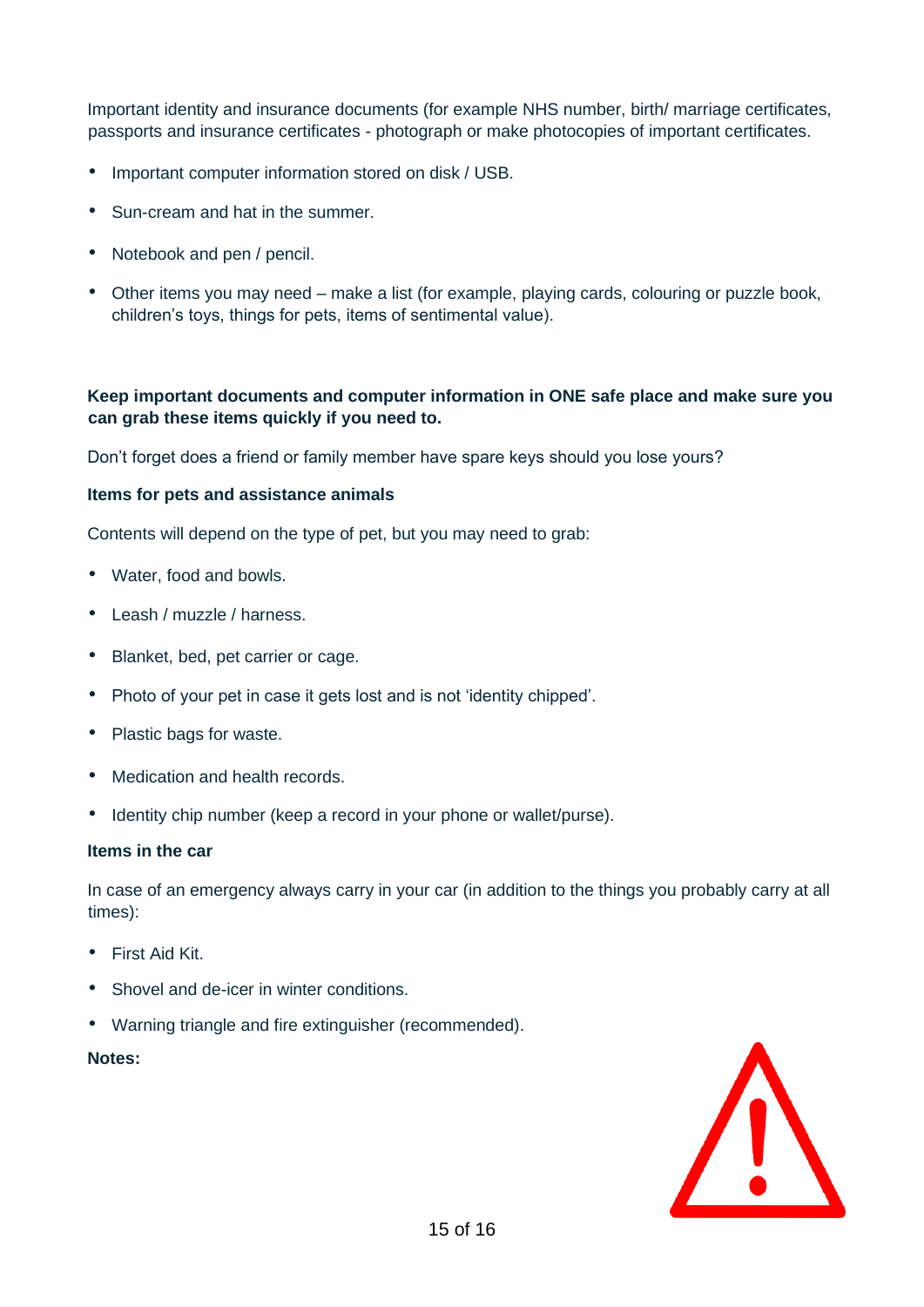Important identity and insurance documents (for example NHS number, birth/ marriage certificates, passports and insurance certificates - photograph or make photocopies of important certificates.

- Important computer information stored on disk / USB.
- Sun-cream and hat in the summer.
- Notebook and pen / pencil.
- Other items you may need make a list (for example, playing cards, colouring or puzzle book, children's toys, things for pets, items of sentimental value).

#### **Keep important documents and computer information in ONE safe place and make sure you can grab these items quickly if you need to.**

Don't forget does a friend or family member have spare keys should you lose yours?

#### **Items for pets and assistance animals**

Contents will depend on the type of pet, but you may need to grab:

- Water, food and bowls.
- Leash / muzzle / harness.
- Blanket, bed, pet carrier or cage.
- Photo of your pet in case it gets lost and is not 'identity chipped'.
- Plastic bags for waste.
- Medication and health records.
- Identity chip number (keep a record in your phone or wallet/purse).

#### **Items in the car**

In case of an emergency always carry in your car (in addition to the things you probably carry at all times):

- First Aid Kit.
- Shovel and de-icer in winter conditions.
- Warning triangle and fire extinguisher (recommended).